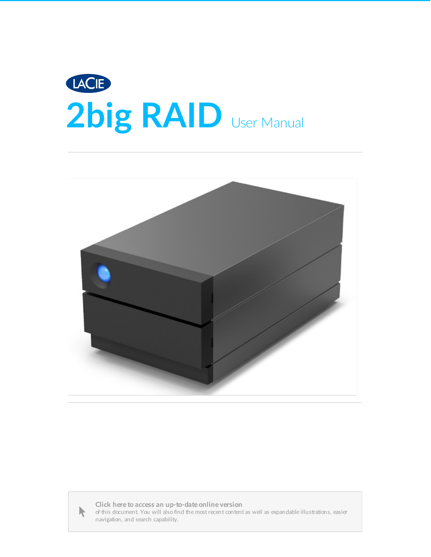





Click here to access an [up-to-date](https://www.lacie.com/manuals/2big-raid/) online version<br>of this document. You will also find the most recent content as well as expandable illustrations, easier<br>navigation, and search capability.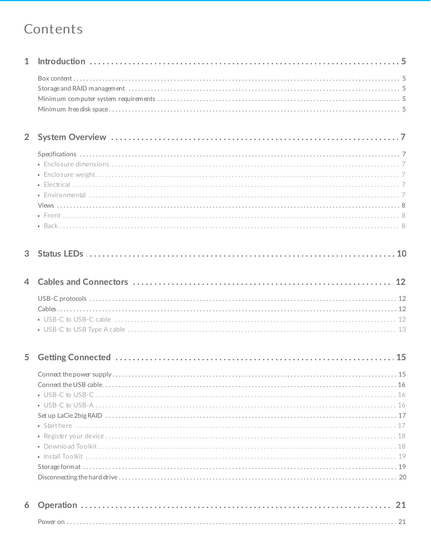#### Contents

|--|--|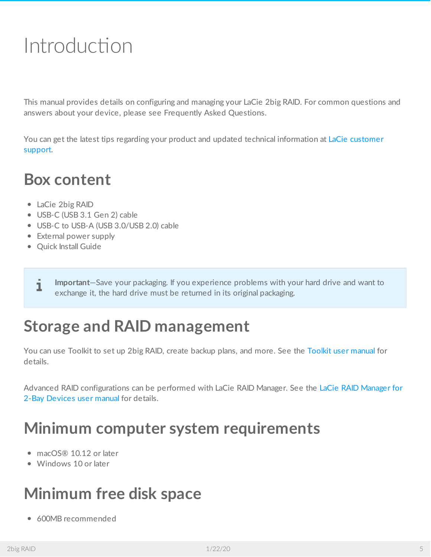# <span id="page-4-0"></span>Introduction

This manual provides details on configuring and managing your LaCie 2big RAID. For common questions and answers about your device, please see Frequently Asked Questions.

You can get the latest tips regarding your product and updated technical [information](https://www.lacie.com/support/2big-raid) at LaCie customer support.

#### <span id="page-4-1"></span>**Box content**

- LaCie 2big RAID
- USB-C (USB 3.1 Gen 2) cable
- USB-C to USB-A (USB 3.0/USB 2.0) cable
- External power supply
- Quick Install Guide
	- **Important**—Save your packaging. If you experience problems with your hard drive and want to exchange it, the hard drive must be returned in its original packaging.

## <span id="page-4-2"></span>**Storage and RAID management**

You can use Toolkit to set up 2big RAID, create backup plans, and more. See the [Toolkit](https://www.lacie.com/manuals/software/toolkit/) user manual for details.

Advanced RAID [configurations](https://www.lacie.com/manuals/lrm/2-bay) can be performed with LaCie RAID Manager. See the LaCie RAID Manager for 2-Bay Devices user manual for details.

## <span id="page-4-3"></span>**Minimum computer system requirements**

- macOS® 10.12 or later
- Windows 10 or later

## <span id="page-4-4"></span>**Minimum free disk space**

600MB recommended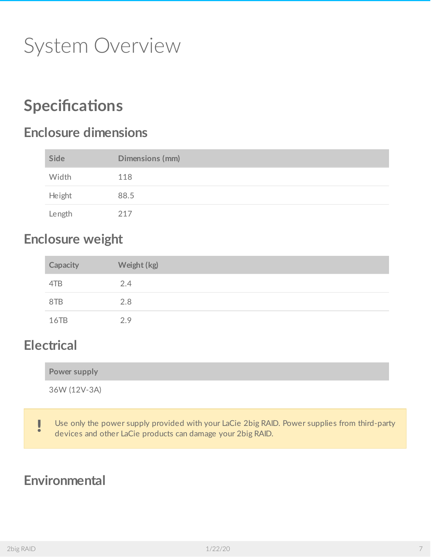# <span id="page-6-0"></span>System Overview

## <span id="page-6-1"></span>**Specifications**

#### <span id="page-6-2"></span>**Enclosure dimensions**

| Side   | Dimensions (mm) |
|--------|-----------------|
| Width  | 118             |
| Height | 88.5            |
| Length | 217             |

#### <span id="page-6-3"></span>**Enclosure weight**

| Capacity | Weight (kg) |
|----------|-------------|
| 4TB      | 2.4         |
| 8TB      | 2.8         |
| 16TB     | 2.9         |

#### <span id="page-6-4"></span>**Electrical**

|  | Power supply |
|--|--------------|
|--|--------------|

36W (12V-3A)

Use only the power supply provided with your LaCie 2big RAID. Power supplies from third-party devices and other LaCie products can damage your 2big RAID.

#### <span id="page-6-5"></span>**Environmental**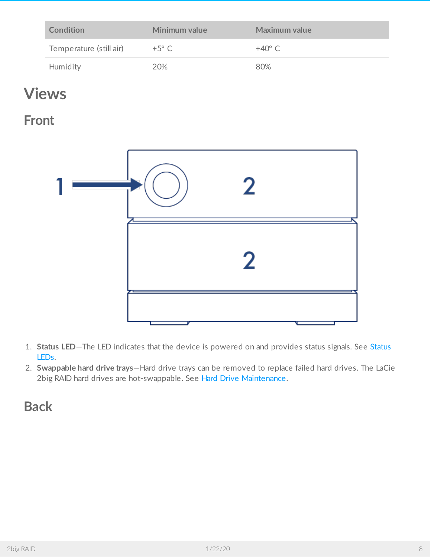| Condition               | Minimum value  | Maximum value   |
|-------------------------|----------------|-----------------|
| Temperature (still air) | $+5^{\circ}$ C | $+40^{\circ}$ C |
| Humidity                | 20%            | 80%             |

### <span id="page-7-0"></span>**Views**

<span id="page-7-1"></span>**Front**



- 1. **Status LED**—The LED indicates that the device is [powered](/manuals/2big-raid/status-leds/) on and provides status signals. See Status LEDs.
- 2. **Swappable hard drive trays**—Hard drive trays can be removed to replace failed hard drives. The LaCie 2big RAID hard drives are hot-swappable. See Hard Drive [Maintenance](/manuals/2big-raid/hard-drive-maintenance/).

#### <span id="page-7-2"></span>**Back**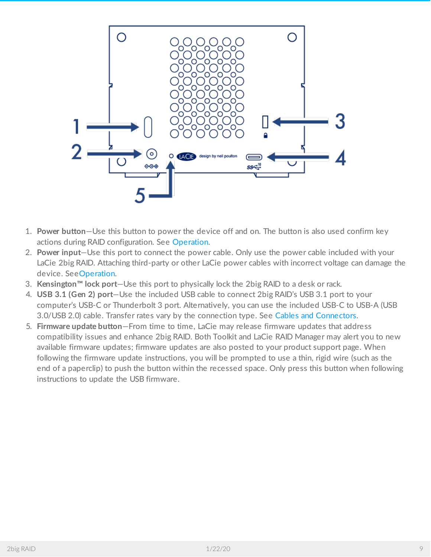

- 1. **Power button**—Use this button to power the device off and on. The button is also used confirm key actions during RAID configuration. See [Operation](/manuals/2big-raid/operation/).
- 2. **Power input**—Use this port to connect the power cable. Only use the power cable included with your LaCie 2big RAID. Attaching third-party or other LaCie power cables with incorrect voltage can damage the device. See[Operation](/manuals/2big-raid/operation/).
- 3. **Kensington™ lock port**—Use this port to physically lock the 2big RAID to a desk or rack.
- 4. **USB 3.1 (Gen 2) port**—Use the included USB cable to connect 2big RAID's USB 3.1 port to your computer's USB-C or Thunderbolt 3 port. Alternatively, you can use the included USB-C to USB-A (USB 3.0/USB 2.0) cable. Transfer rates vary by the connection type. See Cables and [Connectors](/manuals/2big-raid/cables-and-connectors/).
- 5. **Firmware update button**—From time to time, LaCie may release firmware updates that address compatibility issues and enhance 2big RAID. Both Toolkit and LaCie RAID Manager may alert you to new available firmware updates; firmware updates are also posted to your product support page. When following the firmware update instructions, you will be prompted to use a thin, rigid wire (such as the end of a paperclip) to push the button within the recessed space. Only press this button when following instructions to update the USB firmware.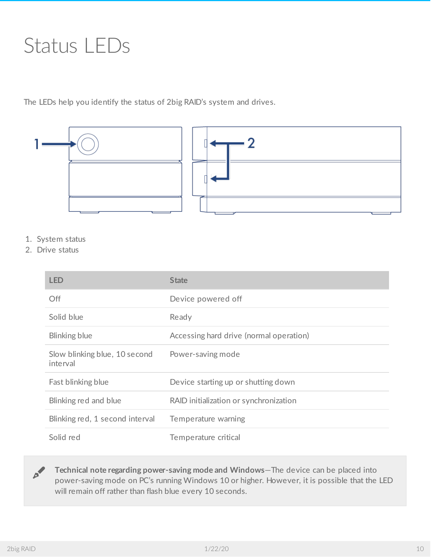# <span id="page-9-0"></span>Status LEDs

The LEDs help you identify the status of 2big RAID's system and drives.



- 1. System status
- 2. Drive status

| <b>LED</b>                                | <b>State</b>                            |
|-------------------------------------------|-----------------------------------------|
| <b>Off</b>                                | Device powered off                      |
| Solid blue                                | Ready                                   |
| Blinking blue                             | Accessing hard drive (normal operation) |
| Slow blinking blue, 10 second<br>interval | Power-saving mode                       |
| Fast blinking blue                        | Device starting up or shutting down     |
| Blinking red and blue                     | RAID initialization or synchronization  |
| Blinking red, 1 second interval           | Temperature warning                     |
| Solid red                                 | Temperature critical                    |

**Technical note regarding power-saving mode and Windows**—The device can be placed into power-saving mode on PC's running Windows 10 or higher. However, it is possible that the LED will remain off rather than flash blue every 10 seconds.  $\mathbf{p}^{\prime}$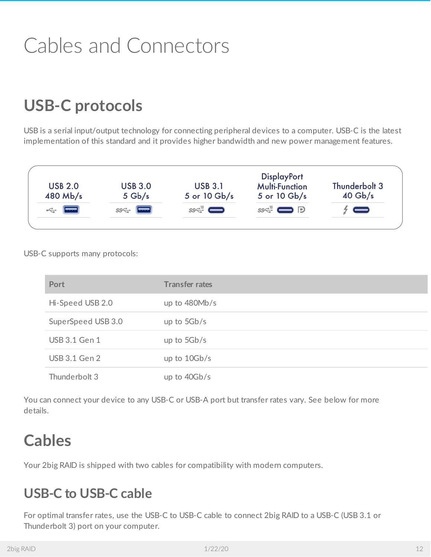# <span id="page-11-0"></span>Cables and Connectors

## <span id="page-11-1"></span>**USB-C protocols**

USB is a serial input/output technology for connecting peripheral devices to a computer. USB-C is the latest implementation of this standard and it provides higher bandwidth and new power management features.



USB-C supports many protocols:

| Port                 | <b>Transfer rates</b> |
|----------------------|-----------------------|
| Hi-Speed USB 2.0     | up to $480Mb/s$       |
| SuperSpeed USB 3.0   | up to $5Gb/s$         |
| <b>USB 3.1 Gen 1</b> | up to $5Gb/s$         |
| USB 3.1 Gen 2        | up to $10Gb/s$        |
| Thunderbolt 3        | up to $40Gb/s$        |

You can connect your device to any USB-C or USB-A port but transfer rates vary. See below for more details.

## <span id="page-11-2"></span>**Cables**

Your 2big RAID is shipped with two cables for compatibility with modern computers.

#### <span id="page-11-3"></span>**USB-C to USB-C cable**

For optimal transfer rates, use the USB-C to USB-C cable to connect 2big RAID to a USB-C (USB 3.1 or Thunderbolt 3) port on your computer.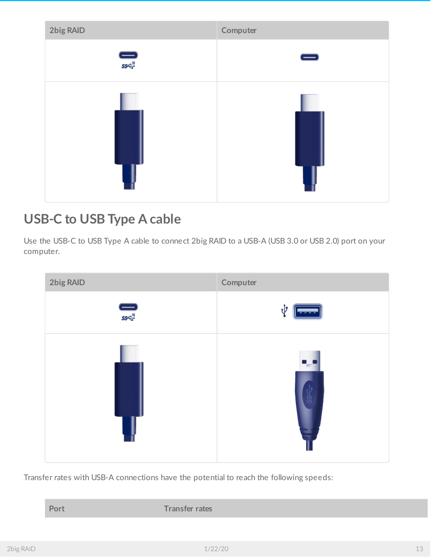

#### <span id="page-12-0"></span>**USB-C to USB Type A cable**

Use the USB-C to USB Type A cable to connect 2big RAID to a USB-A (USB 3.0 or USB 2.0) port on your computer.



Transfer rates with USB-A connections have the potential to reach the following speeds:

**Port Transfer rates**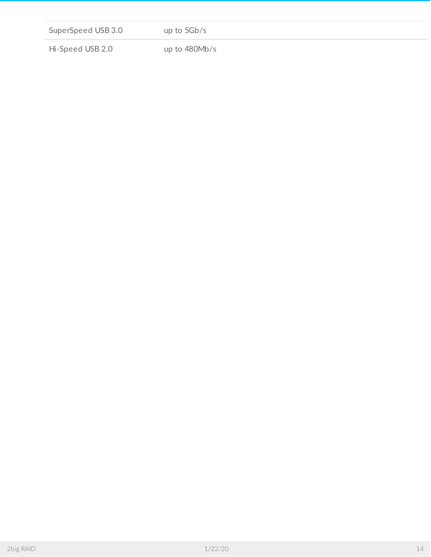| SuperSpeed USB 3.0 | up to $5Gb/s$   |  |
|--------------------|-----------------|--|
|                    |                 |  |
| Hi-Speed USB 2.0   | up to $480Mb/s$ |  |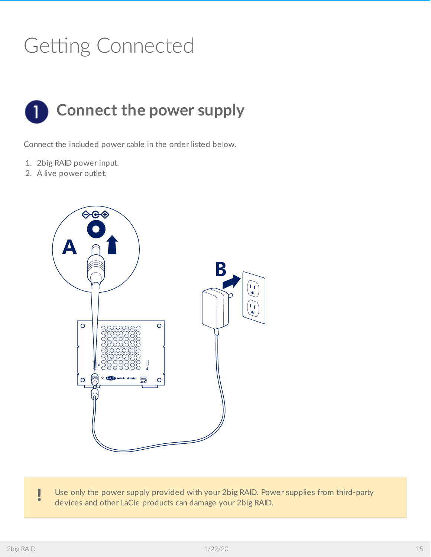# <span id="page-14-0"></span>Getting Connected

<span id="page-14-1"></span>

Connect the included power cable in the order listed below.

- 1. 2big RAID power input.
- 2. A live power outlet.



Use only the power supply provided with your 2big RAID. Power supplies from third-party devices and other LaCie products can damage your 2big RAID.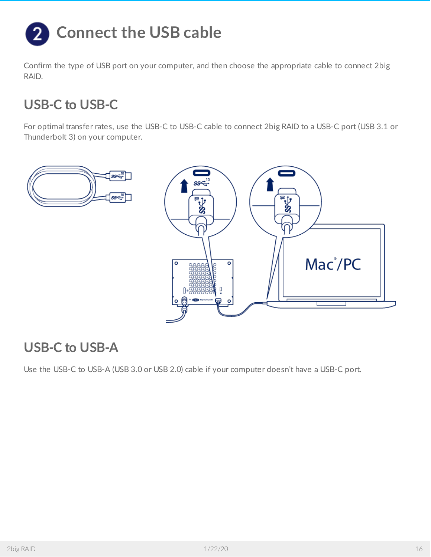<span id="page-15-0"></span>

Confirm the type of USB port on your computer, and then choose the appropriate cable to connect 2big RAID.

#### <span id="page-15-1"></span>**USB-C to USB-C**

For optimal transfer rates, use the USB-C to USB-C cable to connect 2big RAID to a USB-C port (USB 3.1 or Thunderbolt 3) on your computer.



#### <span id="page-15-2"></span>**USB-C to USB-A**

Use the USB-C to USB-A (USB 3.0 or USB 2.0) cable if your computer doesn't have a USB-C port.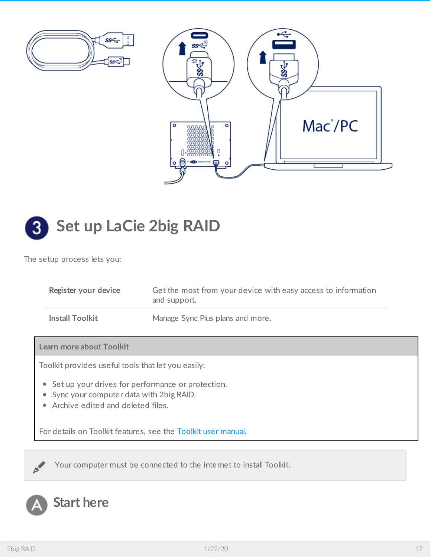



<span id="page-16-0"></span>

The setup process lets you:

|                                                                                                                                         | Register your device                               | Get the most from your device with easy access to information<br>and support. |  |
|-----------------------------------------------------------------------------------------------------------------------------------------|----------------------------------------------------|-------------------------------------------------------------------------------|--|
|                                                                                                                                         | <b>Install Toolkit</b>                             | Manage Sync Plus plans and more.                                              |  |
|                                                                                                                                         | Learn more about Toolkit                           |                                                                               |  |
|                                                                                                                                         | Toolkit provides useful tools that let you easily: |                                                                               |  |
| • Set up your drives for performance or protection.<br>• Sync your computer data with 2big RAID.<br>• Archive edited and deleted files. |                                                    |                                                                               |  |
| For details on Toolkit features, see the Toolkit user manual.                                                                           |                                                    |                                                                               |  |
|                                                                                                                                         |                                                    |                                                                               |  |

Your computer must be connected to the internet to install Toolkit.

### <span id="page-16-1"></span>**Start here**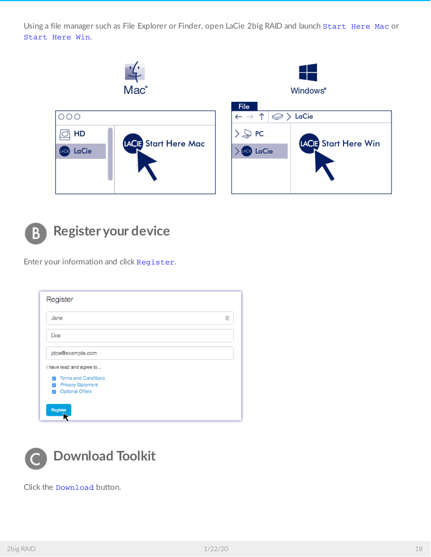Using a file manager such as File Explorer or Finder, open LaCie 2big RAID and launch Start Here Mac or Start Here Win.



<span id="page-17-0"></span>

Enter your information and click Register.

| Jane |                             |  |
|------|-----------------------------|--|
| Doe  |                             |  |
|      | jdoe@example.com            |  |
|      | I have read and agree to    |  |
| п.   | <b>Terms and Conditions</b> |  |
| Ω    | <b>Privacy Statement</b>    |  |
|      |                             |  |

<span id="page-17-1"></span>

Click the Download button.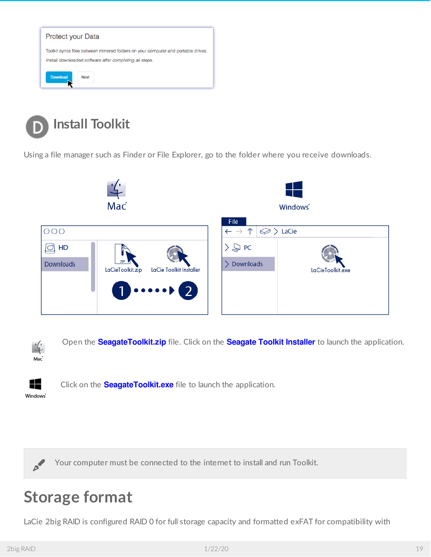

<span id="page-18-0"></span>

Using a file manager such as Finder or File Explorer, go to the folder where you receive downloads.



Open the **SeagateToolkit.zip** file. Click on the **Seagate Toolkit Installer** to launch the application. Mac



Click on the **SeagateToolkit.exe** file to launch the application.

Windows'

Your computer must be connected to the internet to install and run Toolkit.

## <span id="page-18-1"></span>**Storage format**

LaCie 2big RAID is configured RAID 0 for full storage capacity and formatted exFAT for compatibility with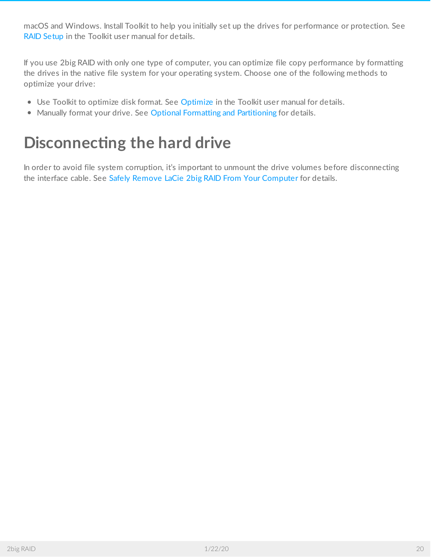macOS and Windows. Install Toolkit to help you initially set up the drives for performance or protection. See RAID [Setup](https://www.lacie.com/manuals/software/toolkit/raid/) in the Toolkit user manual for details.

If you use 2big RAID with only one type of computer, you can optimize file copy performance by formatting the drives in the native file system for your operating system. Choose one of the following methods to optimize your drive:

- Use Toolkit to optimize disk format. See [Optimize](https://www.lacie.com/manuals/software/toolkit/optimize) in the Toolkit user manual for details.
- Manually format your drive. See Optional Formatting and [Partitioning](/manuals/2big-raid/optional-formatting-and-partitioning/) for details.

## <span id="page-19-0"></span>**Disconnecting the hard drive**

In order to avoid file system corruption, it's important to unmount the drive volumes before disconnecting the interface cable. See Safely Remove LaCie 2big RAID From Your [Computer](/manuals/2big-raid/safely-remove/) for details.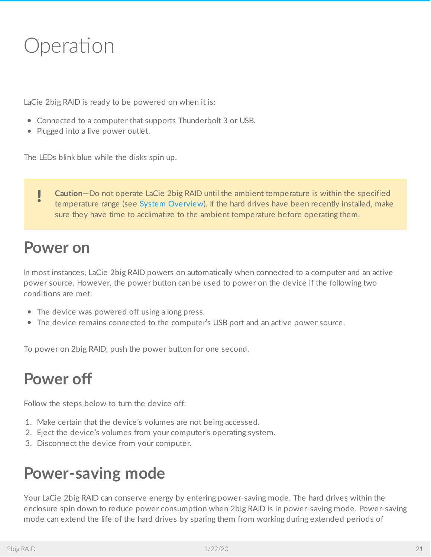# <span id="page-20-0"></span>Operation

LaCie 2big RAID is ready to be powered on when it is:

- Connected to a computer that supports Thunderbolt 3 or USB.
- Plugged into a live power outlet.

The LEDs blink blue while the disks spin up.

**Caution**—Do not operate LaCie 2big RAID until the ambient temperature is within the specified temperature range (see System [Overview](https://www.lacie.com/manuals/2big-raid/system-overview/)). If the hard drives have been recently installed, make sure they have time to acclimatize to the ambient temperature before operating them. U

### <span id="page-20-1"></span>**Power on**

In most instances, LaCie 2big RAID powers on automatically when connected to a computer and an active power source. However, the power button can be used to power on the device if the following two conditions are met:

- The device was powered off using a long press.
- The device remains connected to the computer's USB port and an active power source.

To power on 2big RAID, push the power button for one second.

## <span id="page-20-2"></span>**Power off**

Follow the steps below to turn the device off:

- 1. Make certain that the device's volumes are not being accessed.
- 2. Eject the device's volumes from your computer's operating system.
- 3. Disconnect the device from your computer.

## <span id="page-20-3"></span>**Power-saving mode**

Your LaCie 2big RAID can conserve energy by entering power-saving mode. The hard drives within the enclosure spin down to reduce power consumption when 2big RAID is in power-saving mode. Power-saving mode can extend the life of the hard drives by sparing them from working during extended periods of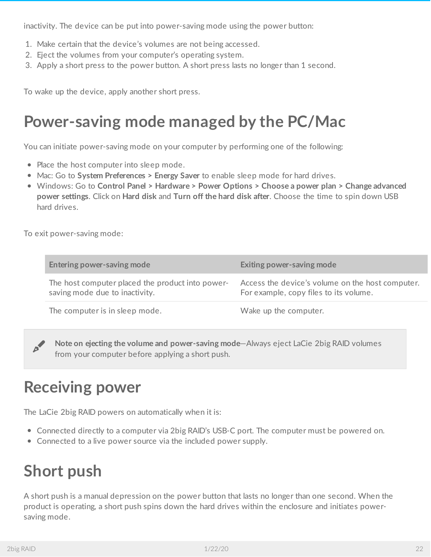inactivity. The device can be put into power-saving mode using the power button:

- 1. Make certain that the device's volumes are not being accessed.
- 2. Eject the volumes from your computer's operating system.
- 3. Apply a short press to the power button. A short press lasts no longer than 1 second.

To wake up the device, apply another short press.

## <span id="page-21-0"></span>**Power-saving mode managed by the PC/Mac**

You can initiate power-saving mode on your computer by performing one of the following:

- Place the host computer into sleep mode.
- Mac: Go to **System Preferences > Energy Saver** to enable sleep mode for hard drives.
- Windows: Go to **Control Panel > Hardware > Power Options > Choose a power plan > Change advanced power settings**. Click on **Hard disk** and **Turn off the hard disk after**. Choose the time to spin down USB hard drives.

To exit power-saving mode:

| Entering power-saving mode                                                         | Exiting power-saving mode                                                                  |
|------------------------------------------------------------------------------------|--------------------------------------------------------------------------------------------|
| The host computer placed the product into power-<br>saving mode due to inactivity. | Access the device's volume on the host computer.<br>For example, copy files to its volume. |
| The computer is in sleep mode.                                                     | Wake up the computer.                                                                      |

**Note on ejecting the volume and power-saving mode**—Always eject LaCie 2big RAID volumes from your computer before applying <sup>a</sup> short push.

## <span id="page-21-1"></span>**Receiving power**

The LaCie 2big RAID powers on automatically when it is:

- Connected directly to a computer via 2big RAID's USB-C port. The computer must be powered on.
- Connected to a live power source via the included power supply.

## <span id="page-21-2"></span>**Short push**

A short push is a manual depression on the power button that lasts no longer than one second. When the product is operating, a short push spins down the hard drives within the enclosure and initiates powersaving mode.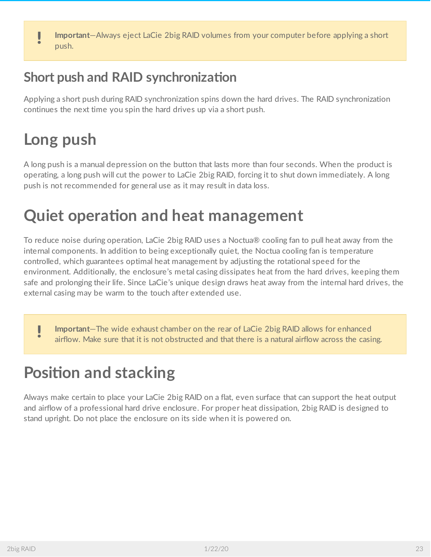**Important**—Always eject LaCie 2big RAID volumes from your computer before applying <sup>a</sup> short push.

#### <span id="page-22-0"></span>**Short** push and **RAID** synchronization

Applying a short push during RAID synchronization spins down the hard drives. The RAID synchronization continues the next time you spin the hard drives up via a short push.

## <span id="page-22-1"></span>**Long push**

A long push is a manual depression on the button that lasts more than four seconds. When the product is operating, a long push will cut the power to LaCie 2big RAID, forcing it to shut down immediately. A long push is not recommended for general use as it may result in data loss.

## <span id="page-22-2"></span>**Quiet operation and heat management**

To reduce noise during operation, LaCie 2big RAID uses a Noctua® cooling fan to pull heat away from the internal components. In addition to being exceptionally quiet, the Noctua cooling fan is temperature controlled, which guarantees optimal heat management by adjusting the rotational speed for the environment. Additionally, the enclosure's metal casing dissipates heat from the hard drives, keeping them safe and prolonging their life. Since LaCie's unique design draws heat away from the internal hard drives, the external casing may be warm to the touch after extended use.

**Important**—The wide exhaust chamber on the rear of LaCie 2big RAID allows for enhanced airflow. Make sure that it is not obstructed and that there is a natural airflow across the casing.

## <span id="page-22-3"></span>**Position** and stacking

Always make certain to place your LaCie 2big RAID on a flat, even surface that can support the heat output and airflow of a professional hard drive enclosure. For proper heat dissipation, 2big RAID is designed to stand upright. Do not place the enclosure on its side when it is powered on.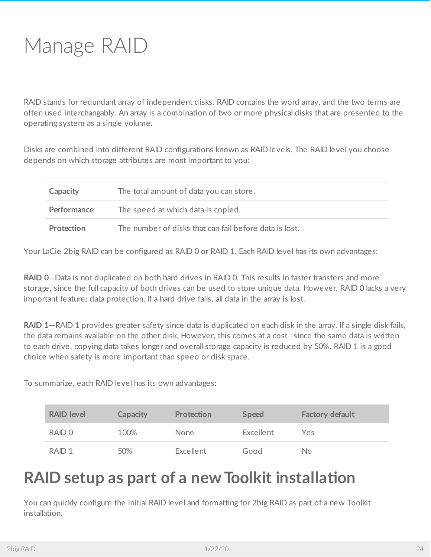<span id="page-23-0"></span>RAID stands for redundant array of independent disks. RAID contains the word array, and the two terms are often used interchangably. An array is a combination of two or more physical disks that are presented to the operating system as a single volume.

Disks are combined into different RAID configurations known as RAID levels. The RAID level you choose depends on which storage attributes are most important to you:

| Capacity    | The total amount of data you can store.                |
|-------------|--------------------------------------------------------|
| Performance | The speed at which data is copied.                     |
| Protection  | The number of disks that can fail before data is lost. |

Your LaCie 2big RAID can be configured as RAID 0 or RAID 1. Each RAID level has its own advantages:

**RAID 0**—Data is not duplicated on both hard drives in RAID 0. This results in faster transfers and more storage, since the full capacity of both drives can be used to store unique data. However, RAID 0 lacks a very important feature: data protection. If a hard drive fails, all data in the array is lost.

**RAID 1**—RAID 1 provides greater safety since data is duplicated on each disk in the array. If a single disk fails, the data remains available on the other disk. However, this comes at a cost—since the same data is written to each drive, copying data takes longer and overall storage capacity is reduced by 50%. RAID 1 is a good choice when safety is more important than speed or disk space.

To summarize, each RAID level has its own advantages:

| <b>RAID level</b> | Capacity | Protection  | <b>Speed</b> | <b>Factory default</b> |
|-------------------|----------|-------------|--------------|------------------------|
| RAID 0            | 100%     | <b>None</b> | Excellent    | Yes                    |
| RAID <sub>1</sub> | 50%      | Excellent   | Good         | No.                    |

## <span id="page-23-1"></span>**RAID** setup as part of a new Toolkit installation

You can quickly configure the initial RAID level and formatting for 2big RAID as part of a new Toolkit installation.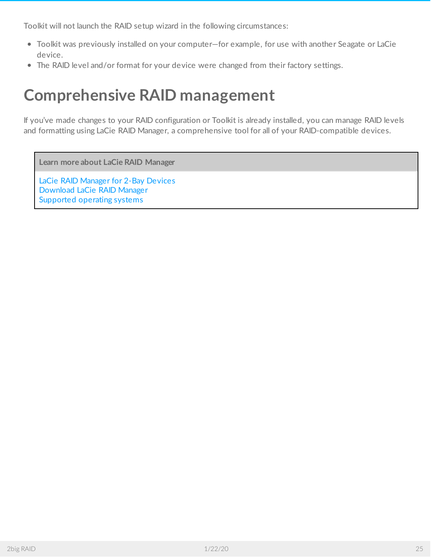Toolkit will not launch the RAID setup wizard in the following circumstances:

- Toolkit was previously installed on your computer—for example, for use with another Seagate or LaCie device.
- The RAID level and/or format for your device were changed from their factory settings.

## <span id="page-24-0"></span>**Comprehensive RAID management**

If you've made changes to your RAID configuration or Toolkit is already installed, you can manage RAID levels and formatting using LaCie RAID Manager, a comprehensive tool for all of your RAID-compatible devices.

**Learn more about LaCie RAID Manager**

LaCie RAID [Manager](https://www.lacie.com/manuals/lrm/2-bay/) for 2-Bay Devices [Download](https://www.lacie.com/support/software/lacie-raid-manager/) LaCie RAID Manager [Supported](http://knowledge.lacie.com/articles/en_US/FAQ/007836en?language=en_US&key=ka03A000000aufEQAQ&kb=n&wwwlocale=en-us) operating systems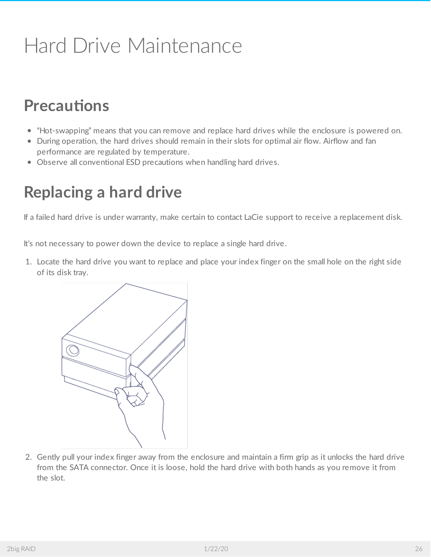# <span id="page-25-0"></span>Hard Drive Maintenance

## <span id="page-25-1"></span>**Precautions**

- "Hot-swapping" means that you can remove and replace hard drives while the enclosure is powered on.
- During operation, the hard drives should remain in their slots for optimal air flow. Airflow and fan performance are regulated by temperature.
- Observe all conventional ESD precautions when handling hard drives.

## <span id="page-25-2"></span>**Replacing a hard drive**

If a failed hard drive is under warranty, make certain to contact LaCie support to receive a replacement disk.

It's not necessary to power down the device to replace a single hard drive.

1. Locate the hard drive you want to replace and place your index finger on the small hole on the right side of its disk tray.



2. Gently pull your index finger away from the enclosure and maintain a firm grip as it unlocks the hard drive from the SATA connector. Once it is loose, hold the hard drive with both hands as you remove it from the slot.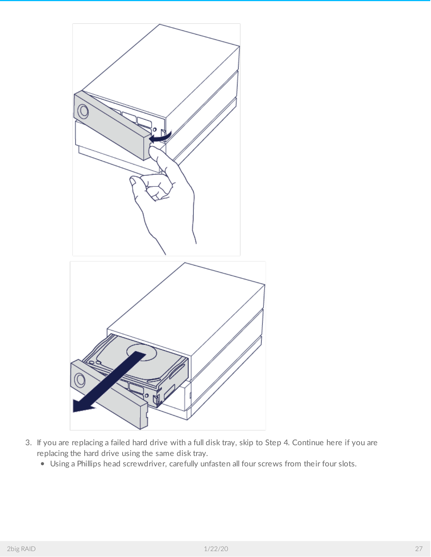

- 3. If you are replacing a failed hard drive with a full disk tray, skip to Step 4. Continue here if you are replacing the hard drive using the same disk tray.
	- Using a Phillips head screwdriver, carefully unfasten all four screws from their four slots.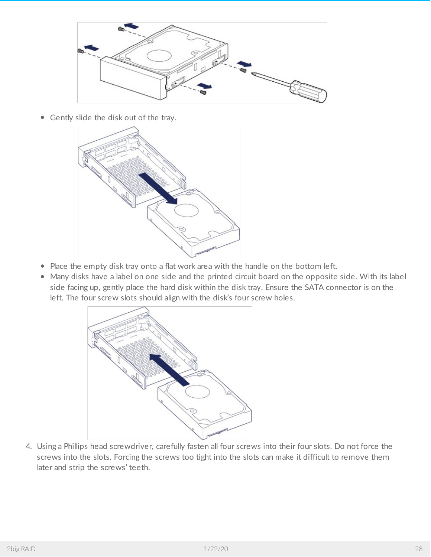

Gently slide the disk out of the tray.



- Place the empty disk tray onto a flat work area with the handle on the bottom left.
- Many disks have a label on one side and the printed circuit board on the opposite side. With its label side facing up, gently place the hard disk within the disk tray. Ensure the SATA connector is on the left. The four screw slots should align with the disk's four screw holes.



4. Using a Phillips head screwdriver, carefully fasten all four screws into their four slots. Do not force the screws into the slots. Forcing the screws too tight into the slots can make it difficult to remove them later and strip the screws' teeth.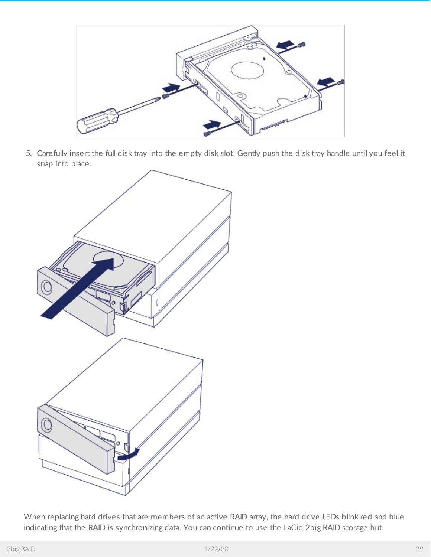

5. Carefully insert the full disk tray into the empty disk slot. Gently push the disk tray handle until you feel it snap into place.



When replacing hard drives that are members of an active RAID array, the hard drive LEDs blink red and blue indicating that the RAID is synchronizing data. You can continue to use the LaCie 2big RAID storage but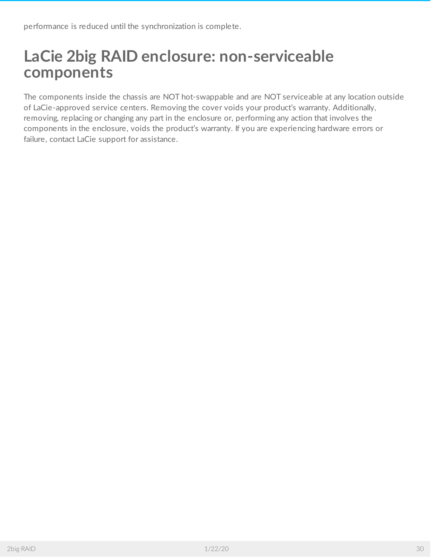## <span id="page-29-0"></span>**LaCie 2big RAID enclosure: non-serviceable components**

The components inside the chassis are NOT hot-swappable and are NOT serviceable at any location outside of LaCie-approved service centers. Removing the cover voids your product's warranty. Additionally, removing, replacing or changing any part in the enclosure or, performing any action that involves the components in the enclosure, voids the product's warranty. If you are experiencing hardware errors or failure, contact LaCie support for assistance.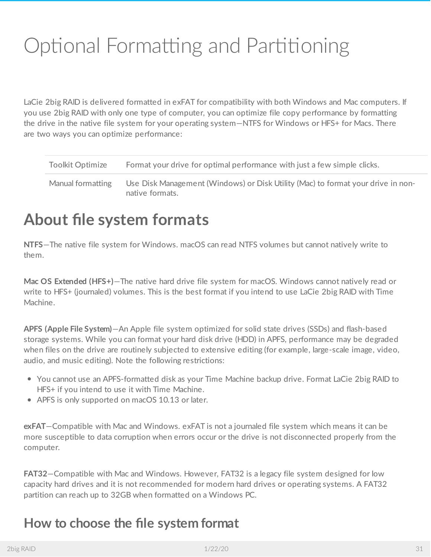# <span id="page-30-0"></span>Optional Formatting and Partitioning

LaCie 2big RAID is delivered formatted in exFAT for compatibility with both Windows and Mac computers. If you use 2big RAID with only one type of computer, you can optimize file copy performance by formatting the drive in the native file system for your operating system—NTFS for Windows or HFS+ for Macs. There are two ways you can optimize performance:

| <b>Toolkit Optimize</b> | Format your drive for optimal performance with just a few simple clicks.                            |
|-------------------------|-----------------------------------------------------------------------------------------------------|
| Manual formatting       | Use Disk Management (Windows) or Disk Utility (Mac) to format your drive in non-<br>native formats. |

## <span id="page-30-1"></span>**About file system formats**

**NTFS**—The native file system for Windows. macOS can read NTFS volumes but cannot natively write to them.

**Mac OS Extended (HFS+)**—The native hard drive file system for macOS. Windows cannot natively read or write to HFS+ (journaled) volumes. This is the best format if you intend to use LaCie 2big RAID with Time Machine.

**APFS (Apple File System)**—An Apple file system optimized for solid state drives (SSDs) and flash-based storage systems. While you can format your hard disk drive (HDD) in APFS, performance may be degraded when files on the drive are routinely subjected to extensive editing (for example, large-scale image, video, audio, and music editing). Note the following restrictions:

- You cannot use an APFS-formatted disk as your Time Machine backup drive. Format LaCie 2big RAID to HFS+ if you intend to use it with Time Machine.
- APFS is only supported on macOS 10.13 or later.

**exFAT**—Compatible with Mac and Windows. exFAT is not a journaled file system which means it can be more susceptible to data corruption when errors occur or the drive is not disconnected properly from the computer.

**FAT32**—Compatible with Mac and Windows. However, FAT32 is a legacy file system designed for low capacity hard drives and it is not recommended for modern hard drives or operating systems. A FAT32 partition can reach up to 32GB when formatted on a Windows PC.

#### <span id="page-30-2"></span>**How to choose the file system format**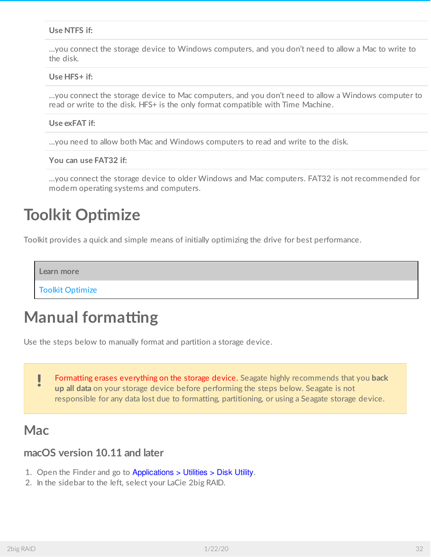#### **Use NTFS if:**

…you connect the storage device to Windows computers, and you don't need to allow a Mac to write to the disk.

#### **Use HFS+ if:**

…you connect the storage device to Mac computers, and you don't need to allow a Windows computer to read or write to the disk. HFS+ is the only format compatible with Time Machine.

#### **Use exFAT if:**

…you need to allow both Mac and Windows computers to read and write to the disk.

**You can use FAT32 if:**

…you connect the storage device to older Windows and Mac computers. FAT32 is not recommended for modern operating systems and computers.

#### <span id="page-31-0"></span>**Toolkit Optimize**

Toolkit provides a quick and simple means of initially optimizing the drive for best performance.

**Learn more**

Toolkit [Optimize](http://www.lacie.com/manuals/software/toolkit/optimize)

#### <span id="page-31-1"></span>**Manual formatting**

Use the steps below to manually format and partition a storage device.

Formatting erases everything on the storage device. Seagate highly recommends that you **back up all data** on your storage device before performing the steps below. Seagate is not responsible for any data lost due to formatting, partitioning, or using a Seagate storage device. U

#### <span id="page-31-2"></span>**Mac**

#### <span id="page-31-3"></span>**macOS version 10.11 and later**

- 1. Open the Finder and go to Applications > Utilities > Disk Utility.
- 2. In the sidebar to the left, select your LaCie 2big RAID.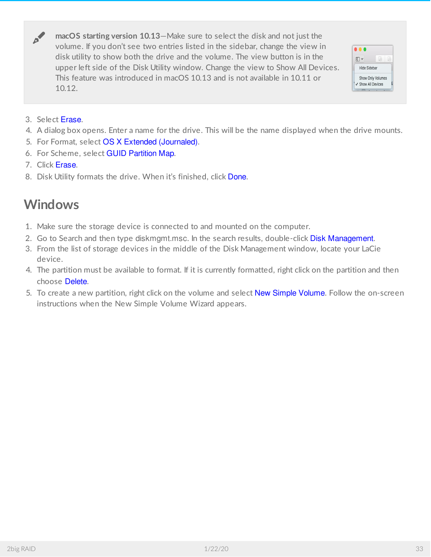**macOS starting version 10.13**—Make sure to select the disk and not just the volume. If you don't see two entries listed in the sidebar, change the view in disk utility to show both the drive and the volume. The view button is in the upper left side of the Disk Utility window. Change the view to Show All Devices. This feature was introduced in macOS 10.13 and is not available in 10.11 or 10.12.



3. Select Erase.

al

- 4. A dialog box opens. Enter a name for the drive. This will be the name displayed when the drive mounts.
- 5. For Format, select OS X Extended (Journaled).
- 6. For Scheme, select GUID Partition Map.
- 7. Click Erase.
- 8. Disk Utility formats the drive. When it's finished, click Done.

#### <span id="page-32-0"></span>**Windows**

- 1. Make sure the storage device is connected to and mounted on the computer.
- 2. Go to Search and then type diskmgmt.msc. In the search results, double-click Disk Management.
- 3. From the list of storage devices in the middle of the Disk Management window, locate your LaCie device.
- 4. The partition must be available to format. If it is currently formatted, right click on the partition and then choose Delete.
- 5. To create a new partition, right click on the volume and select New Simple Volume. Follow the on-screen instructions when the New Simple Volume Wizard appears.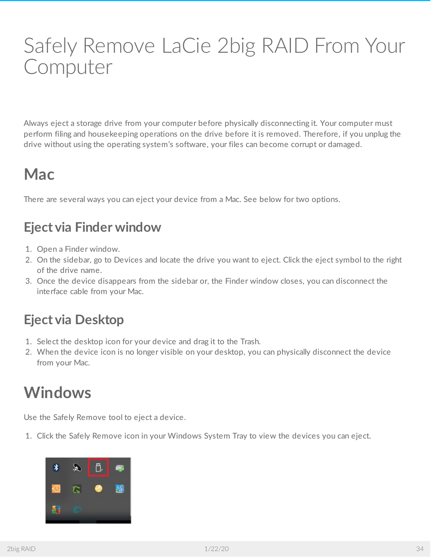# <span id="page-33-0"></span>Safely Remove LaCie 2big RAID From Your Computer

Always eject a storage drive from your computer before physically disconnecting it. Your computer must perform filing and housekeeping operations on the drive before it is removed. Therefore, if you unplug the drive without using the operating system's software, your files can become corrupt or damaged.

## <span id="page-33-1"></span>**Mac**

There are several ways you can eject your device from a Mac. See below for two options.

#### <span id="page-33-2"></span>**Eject via Finder window**

- 1. Open a Finder window.
- 2. On the sidebar, go to Devices and locate the drive you want to eject. Click the eject symbol to the right of the drive name.
- 3. Once the device disappears from the sidebar or, the Finder window closes, you can disconnect the interface cable from your Mac.

#### <span id="page-33-3"></span>**Eject via Desktop**

- 1. Select the desktop icon for your device and drag it to the Trash.
- 2. When the device icon is no longer visible on your desktop, you can physically disconnect the device from your Mac.

## <span id="page-33-4"></span>**Windows**

Use the Safely Remove tool to eject a device.

1. Click the Safely Remove icon in your Windows System Tray to view the devices you can eject.

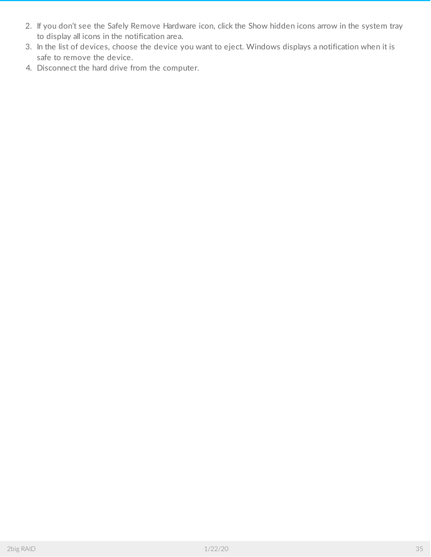- 2. If you don't see the Safely Remove Hardware icon, click the Show hidden icons arrow in the system tray to display all icons in the notification area.
- 3. In the list of devices, choose the device you want to eject. Windows displays a notification when it is safe to remove the device.
- 4. Disconnect the hard drive from the computer.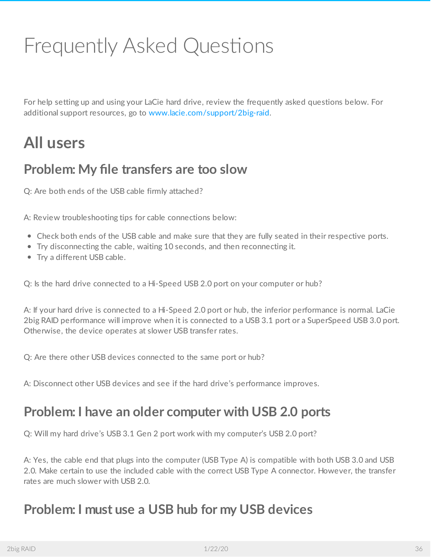# <span id="page-35-0"></span>Frequently Asked Questions

For help setting up and using your LaCie hard drive, review the frequently asked questions below. For additional support resources, go to [www.lacie.com/support/2big-raid](https://www.lacie.com/support/2big-raid).

## <span id="page-35-1"></span>**All users**

#### <span id="page-35-2"></span>**Problem: My file transfers are too slow**

Q: Are both ends of the USB cable firmly attached?

A: Review troubleshooting tips for cable connections below:

- Check both ends of the USB cable and make sure that they are fully seated in their respective ports.
- Try disconnecting the cable, waiting 10 seconds, and then reconnecting it.
- Try a different USB cable.

Q: Is the hard drive connected to a Hi-Speed USB 2.0 port on your computer or hub?

A: If your hard drive is connected to a Hi-Speed 2.0 port or hub, the inferior performance is normal. LaCie 2big RAID performance will improve when it is connected to a USB 3.1 port or a SuperSpeed USB 3.0 port. Otherwise, the device operates at slower USB transfer rates.

Q: Are there other USB devices connected to the same port or hub?

A: Disconnect other USB devices and see if the hard drive's performance improves.

#### <span id="page-35-3"></span>**Problem: I have an older computer with USB 2.0 ports**

Q: Will my hard drive's USB 3.1 Gen 2 port work with my computer's USB 2.0 port?

A: Yes, the cable end that plugs into the computer (USB Type A) is compatible with both USB 3.0 and USB 2.0. Make certain to use the included cable with the correct USB Type A connector. However, the transfer rates are much slower with USB 2.0.

#### <span id="page-35-4"></span>**Problem: I must use a USB hub for my USB devices**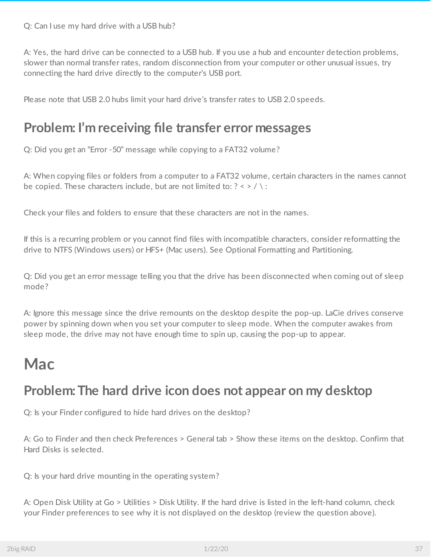Q: Can I use my hard drive with a USB hub?

A: Yes, the hard drive can be connected to a USB hub. If you use a hub and encounter detection problems, slower than normal transfer rates, random disconnection from your computer or other unusual issues, try connecting the hard drive directly to the computer's USB port.

Please note that USB 2.0 hubs limit your hard drive's transfer rates to USB 2.0 speeds.

#### <span id="page-36-0"></span>**Problem: I'm receiving file transfer error messages**

Q: Did you get an "Error -50" message while copying to a FAT32 volume?

A: When copying files or folders from a computer to a FAT32 volume, certain characters in the names cannot be copied. These characters include, but are not limited to:  $? \leq / \$ :

Check your files and folders to ensure that these characters are not in the names.

If this is a recurring problem or you cannot find files with incompatible characters, consider reformatting the drive to NTFS (Windows users) or HFS+ (Mac users). See Optional Formatting and Partitioning.

Q: Did you get an error message telling you that the drive has been disconnected when coming out of sleep mode?

A: Ignore this message since the drive remounts on the desktop despite the pop-up. LaCie drives conserve power by spinning down when you set your computer to sleep mode. When the computer awakes from sleep mode, the drive may not have enough time to spin up, causing the pop-up to appear.

### <span id="page-36-1"></span>**Mac**

#### <span id="page-36-2"></span>**Problem:The hard drive icon does not appear on my desktop**

Q: Is your Finder configured to hide hard drives on the desktop?

A: Go to Finder and then check Preferences > General tab > Show these items on the desktop. Confirm that Hard Disks is selected.

Q: Is your hard drive mounting in the operating system?

A: Open Disk Utility at Go > Utilities > Disk Utility. If the hard drive is listed in the left-hand column, check your Finder preferences to see why it is not displayed on the desktop (review the question above).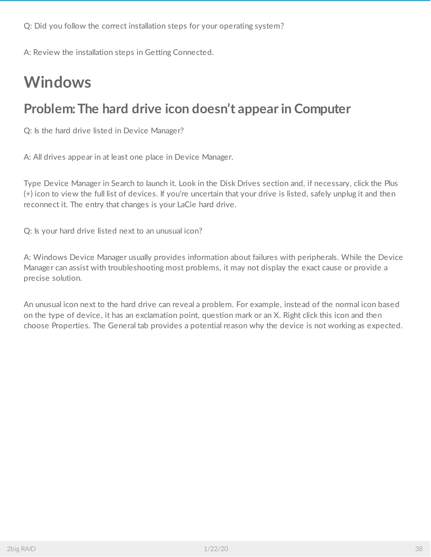Q: Did you follow the correct installation steps for your operating system?

A: Review the installation steps in Getting Connected.

## <span id="page-37-0"></span>**Windows**

#### <span id="page-37-1"></span>**Problem:The hard drive icon doesn't appear in Computer**

Q: Is the hard drive listed in Device Manager?

A: All drives appear in at least one place in Device Manager.

Type Device Manager in Search to launch it. Look in the Disk Drives section and, if necessary, click the Plus (+) icon to view the full list of devices. If you're uncertain that your drive is listed, safely unplug it and then reconnect it. The entry that changes is your LaCie hard drive.

Q: Is your hard drive listed next to an unusual icon?

A: Windows Device Manager usually provides information about failures with peripherals. While the Device Manager can assist with troubleshooting most problems, it may not display the exact cause or provide a precise solution.

An unusual icon next to the hard drive can reveal a problem. For example, instead of the normal icon based on the type of device, it has an exclamation point, question mark or an X. Right click this icon and then choose Properties. The General tab provides a potential reason why the device is not working as expected.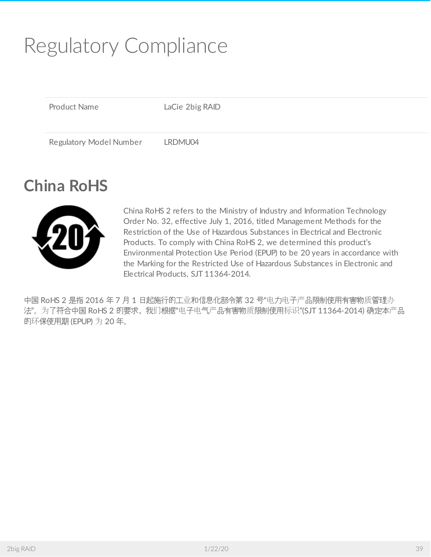# <span id="page-38-0"></span>Regulatory Compliance

Product Name LaCie 2big RAID

Regulatory Model Number LRDMU04

## <span id="page-38-1"></span>**China RoHS**



China RoHS 2 refers to the Ministry of Industry and Information Technology Order No. 32, effective July 1, 2016, titled Management Methods for the Restriction of the Use of Hazardous Substances in Electrical and Electronic Products. To comply with China RoHS 2, we determined this product's Environmental Protection Use Period (EPUP) to be 20 years in accordance with the Marking for the Restricted Use of Hazardous Substances in Electronic and Electrical Products, SJT 11364-2014.

中国 RoHS 2 是指 2016 年 7 月 1 日起施行的工业和信息化部令第 32 号"电力电子产品限制使用有害物质管理办 法"。为了符合中国 RoHS 2 的要求,我们根据"电子电气产品有害物质限制使用标识"(SJT 11364-2014) 确定本产品 的环保使用期 (EPUP) 为 20 年。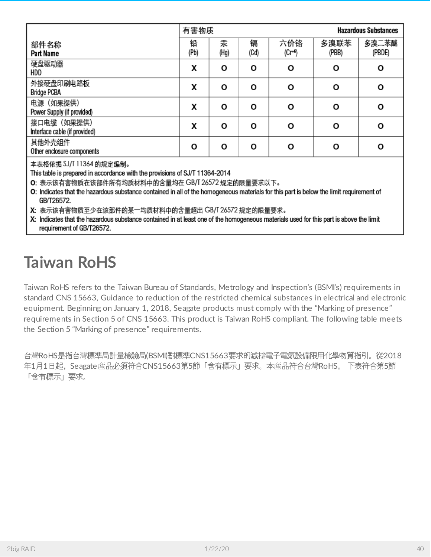|                                              | 有害物质      |           |           | <b>Hazardous Substances</b> |               |                 |
|----------------------------------------------|-----------|-----------|-----------|-----------------------------|---------------|-----------------|
| 部件名称<br>Part Name                            | 铅<br>(Pb) | 汞<br>(Hg) | 镉<br>(Cd) | 六价铬<br>$(Cr + 6)$           | 多溴联苯<br>(PBB) | 多溴二苯醚<br>(PBDE) |
| 硬盘驱动器<br>HDD                                 | X         | Ο         | O         | O                           | O             | O               |
| 外接硬盘印刷电路板<br><b>Bridge PCBA</b>              | x         | O         | O         | О                           | Ο             | О               |
| 电源 (如果提供)<br>Power Supply (if provided)      | X         | Ο         | О         | О                           | Ο             | О               |
| 接口电缆 (如果提供)<br>Interface cable (if provided) | X         | O         | O         | O                           | O             | O               |
| 其他外壳组件<br>Other enclosure components         | O         | O         | O         | О                           | Ο             | О               |

本表格依据 SJ/T 11364 的规定编制。

This table is prepared in accordance with the provisions of SJ/T 11364-2014

O: 表示该有害物质在该部件所有均质材料中的含量均在 GB/T 26572 规定的限量要求以下。

O: Indicates that the hazardous substance contained in all of the homogeneous materials for this part is below the limit requirement of GB/T26572.

X: 表示该有害物质至少在该部件的某一均质材料中的含量超出 GB/T 26572 规定的限量要求。

X: Indicates that the hazardous substance contained in at least one of the homogeneous materials used for this part is above the limit requirement of GB/T26572.

## <span id="page-39-0"></span>**Taiwan RoHS**

Taiwan RoHS refers to the Taiwan Bureau of Standards, Metrology and Inspection's (BSMI's) requirements in standard CNS 15663, Guidance to reduction of the restricted chemical substances in electrical and electronic equipment. Beginning on January 1, 2018, Seagate products must comply with the "Marking of presence" requirements in Section 5 of CNS 15663. This product is Taiwan RoHS compliant. The following table meets the Section 5 "Marking of presence" requirements.

台灣RoHS是指台灣標準局計量檢驗局(BSMI)對標準CNS15663要求的減排電子電氣設備限用化學物質指引。從2018 年1月1日起,Seagate産品必須符合CNS15663第5節「含有標示」要求。本産品符合台灣RoHS。 下表符合第5節 「含有標示」要求。